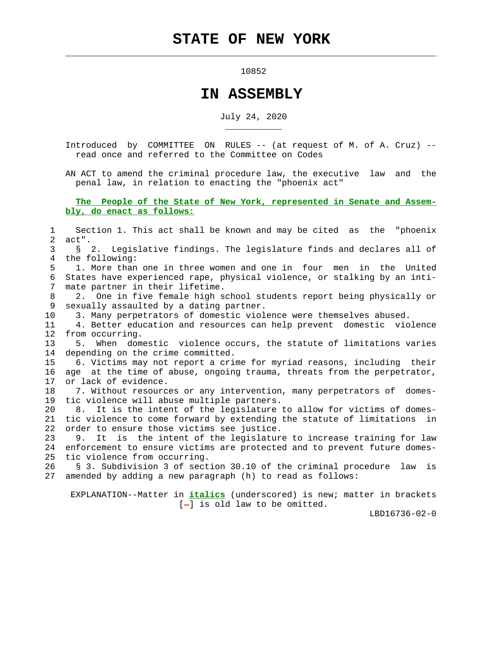$\mathcal{L}_\text{max} = \frac{1}{2} \sum_{i=1}^{n} \frac{1}{2} \sum_{i=1}^{n} \frac{1}{2} \sum_{i=1}^{n} \frac{1}{2} \sum_{i=1}^{n} \frac{1}{2} \sum_{i=1}^{n} \frac{1}{2} \sum_{i=1}^{n} \frac{1}{2} \sum_{i=1}^{n} \frac{1}{2} \sum_{i=1}^{n} \frac{1}{2} \sum_{i=1}^{n} \frac{1}{2} \sum_{i=1}^{n} \frac{1}{2} \sum_{i=1}^{n} \frac{1}{2} \sum_{i=1}^{n} \frac{1$ 

\_\_\_\_\_\_\_\_\_\_\_

## 10852

## **IN ASSEMBLY**

July 24, 2020

 Introduced by COMMITTEE ON RULES -- (at request of M. of A. Cruz) - read once and referred to the Committee on Codes

 AN ACT to amend the criminal procedure law, the executive law and the penal law, in relation to enacting the "phoenix act"

 **The People of the State of New York, represented in Senate and Assem bly, do enact as follows:**

 1 Section 1. This act shall be known and may be cited as the "phoenix 2 act". 3 § 2. Legislative findings. The legislature finds and declares all of 4 the following: 5 1. More than one in three women and one in four men in the United 6 States have experienced rape, physical violence, or stalking by an inti- 7 mate partner in their lifetime. 8 2. One in five female high school students report being physically or 9 sexually assaulted by a dating partner. 10 3. Many perpetrators of domestic violence were themselves abused. 11 4. Better education and resources can help prevent domestic violence 12 from occurring. 13 5. When domestic violence occurs, the statute of limitations varies 14 depending on the crime committed. 15 6. Victims may not report a crime for myriad reasons, including their 16 age at the time of abuse, ongoing trauma, threats from the perpetrator, 17 or lack of evidence. 18 7. Without resources or any intervention, many perpetrators of domes- 19 tic violence will abuse multiple partners. 20 8. It is the intent of the legislature to allow for victims of domes- 21 tic violence to come forward by extending the statute of limitations in 22 order to ensure those victims see justice. 23 9. It is the intent of the legislature to increase training for law 24 enforcement to ensure victims are protected and to prevent future domes- 25 tic violence from occurring. 26 § 3. Subdivision 3 of section 30.10 of the criminal procedure law is 27 amended by adding a new paragraph (h) to read as follows: EXPLANATION--Matter in **italics** (underscored) is new; matter in brackets

 $[-]$  is old law to be omitted.

LBD16736-02-0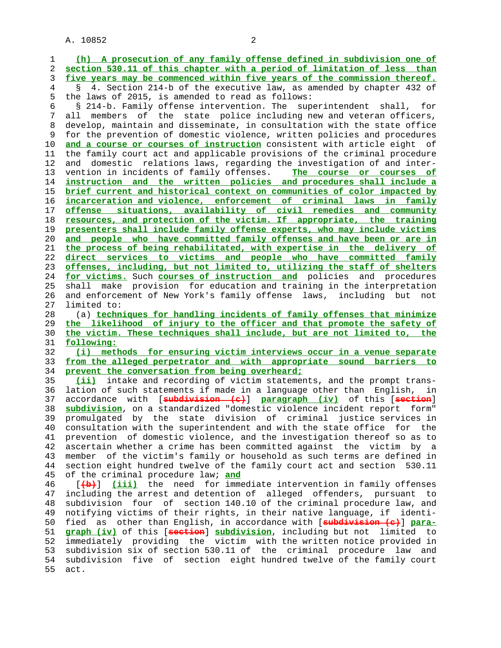1 **(h) A prosecution of any family offense defined in subdivision one of** 2 **section 530.11 of this chapter with a period of limitation of less than** 3 **five years may be commenced within five years of the commission thereof.** 4 § 4. Section 214-b of the executive law, as amended by chapter 432 of 5 the laws of 2015, is amended to read as follows: 6 § 214-b. Family offense intervention. The superintendent shall, for 7 all members of the state police including new and veteran officers, 8 develop, maintain and disseminate, in consultation with the state office<br>9 for the prevention of domestic violence, written policies and procedures for the prevention of domestic violence, written policies and procedures 10 **and a course or courses of instruction** consistent with article eight of 11 the family court act and applicable provisions of the criminal procedure 12 and domestic relations laws, regarding the investigation of and inter- 13 vention in incidents of family offenses. **The course or courses of** 14 **instruction and the written policies and procedures shall include a** 15 **brief current and historical context on communities of color impacted by** 16 **incarceration and violence, enforcement of criminal laws in family** 17 **offense situations, availability of civil remedies and community** 18 **resources, and protection of the victim. If appropriate, the training** 19 **presenters shall include family offense experts, who may include victims** 20 **and people who have committed family offenses and have been or are in** 21 **the process of being rehabilitated, with expertise in the delivery of** 22 **direct services to victims and people who have committed family** 23 **offenses, including, but not limited to, utilizing the staff of shelters** 24 **for victims.** Such **courses of instruction and** policies and procedures 25 shall make provision for education and training in the interpretation 26 and enforcement of New York's family offense laws, including but not 27 limited to: 28 (a) **techniques for handling incidents of family offenses that minimize** 29 **the likelihood of injury to the officer and that promote the safety of** 30 **the victim. These techniques shall include, but are not limited to, the** 31 **following:** 32 **(i) methods for ensuring victim interviews occur in a venue separate** 33 **from the alleged perpetrator and with appropriate sound barriers to** 34 **prevent the conversation from being overheard;** 35 **(ii)** intake and recording of victim statements, and the prompt trans- 36 lation of such statements if made in a language other than English, in 37 accordance with [**subdivision (c)**] **paragraph (iv)** of this [**section**] 38 **subdivision**, on a standardized "domestic violence incident report form" 39 promulgated by the state division of criminal justice services in 40 consultation with the superintendent and with the state office for the 41 prevention of domestic violence, and the investigation thereof so as to 42 ascertain whether a crime has been committed against the victim by a 43 member of the victim's family or household as such terms are defined in 44 section eight hundred twelve of the family court act and section 530.11 45 of the criminal procedure law; **and** 46 [**(b)**] **(iii)** the need for immediate intervention in family offenses 47 including the arrest and detention of alleged offenders, pursuant to 48 subdivision four of section 140.10 of the criminal procedure law, and 49 notifying victims of their rights, in their native language, if identi- 50 fied as other than English, in accordance with [**subdivision (c)**] **para-** 51 **graph (iv)** of this [**section**] **subdivision**, including but not limited to 52 immediately providing the victim with the written notice provided in 53 subdivision six of section 530.11 of the criminal procedure law and 54 subdivision five of section eight hundred twelve of the family court 55 act.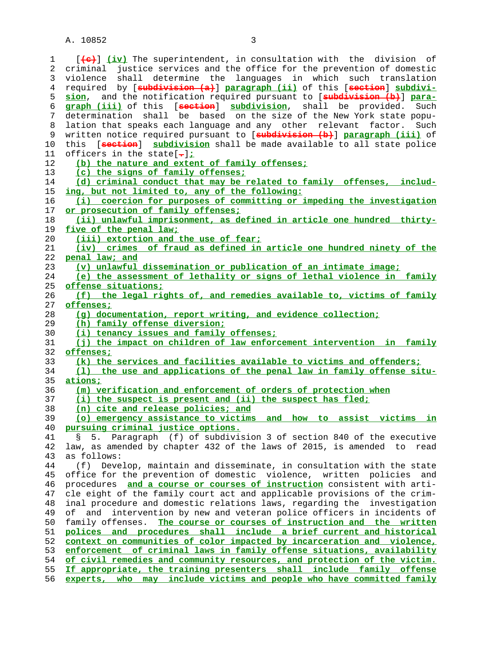1 [**(c)**] **(iv)** The superintendent, in consultation with the division of 2 criminal justice services and the office for the prevention of domestic 3 violence shall determine the languages in which such translation 4 required by [**subdivision (a)**] **paragraph (ii)** of this [**section**] **subdivi- sion**, and the notification required pursuant to [**subdivision (b)**] **para- graph (iii)** of this [**section**] **subdivision**, shall be provided. Such 7 determination shall be based on the size of the New York state popu- 8 lation that speaks each language and any other relevant factor. Such 9 written notice required pursuant to [**subdivision (b)**] **paragraph (iii)** of 10 this [**section**] **subdivision** shall be made available to all state police 11 officers in the state[**.**]**; (b) the nature and extent of family offenses; (c) the signs of family offenses; (d) criminal conduct that may be related to family offenses, includ- ing, but not limited to, any of the following: (i) coercion for purposes of committing or impeding the investigation or prosecution of family offenses; (ii) unlawful imprisonment, as defined in article one hundred thirty- five of the penal law; (iii) extortion and the use of fear; (iv) crimes of fraud as defined in article one hundred ninety of the penal law; and (v) unlawful dissemination or publication of an intimate image; (e) the assessment of lethality or signs of lethal violence in family offense situations; (f) the legal rights of, and remedies available to, victims of family offenses; (g) documentation, report writing, and evidence collection; (h) family offense diversion; (i) tenancy issues and family offenses; (j) the impact on children of law enforcement intervention in family offenses; (k) the services and facilities available to victims and offenders; (l) the use and applications of the penal law in family offense situ- ations; (m) verification and enforcement of orders of protection when (i) the suspect is present and (ii) the suspect has fled; (n) cite and release policies; and (o) emergency assistance to victims and how to assist victims in pursuing criminal justice options.** 41 § 5. Paragraph (f) of subdivision 3 of section 840 of the executive 42 law, as amended by chapter 432 of the laws of 2015, is amended to read 43 as follows: 44 (f) Develop, maintain and disseminate, in consultation with the state 45 office for the prevention of domestic violence, written policies and 46 procedures **and a course or courses of instruction** consistent with arti- 47 cle eight of the family court act and applicable provisions of the crim- 48 inal procedure and domestic relations laws, regarding the investigation 49 of and intervention by new and veteran police officers in incidents of 50 family offenses. **The course or courses of instruction and the written polices and procedures shall include a brief current and historical context on communities of color impacted by incarceration and violence, enforcement of criminal laws in family offense situations, availability of civil remedies and community resources, and protection of the victim. If appropriate, the training presenters shall include family offense experts, who may include victims and people who have committed family**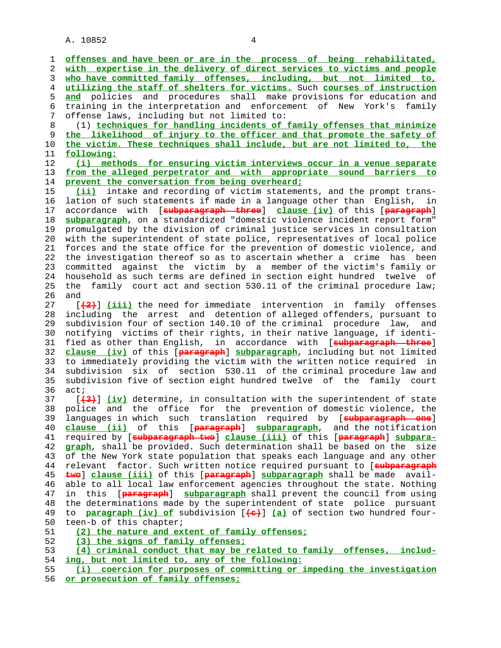1 **offenses and have been or are in the process of being rehabilitated,** 2 **with expertise in the delivery of direct services to victims and people** 3 **who have committed family offenses, including, but not limited to,** 4 **utilizing the staff of shelters for victims.** Such **courses of instruction** 5 **and** policies and procedures shall make provisions for education and 6 training in the interpretation and enforcement of New York's family 7 offense laws, including but not limited to: 8 (1) **techniques for handling incidents of family offenses that minimize** 9 **the likelihood of injury to the officer and that promote the safety of** 10 **the victim. These techniques shall include, but are not limited to, the** 11 **following:** 12 **(i) methods for ensuring victim interviews occur in a venue separate** 13 **from the alleged perpetrator and with appropriate sound barriers to** 14 **prevent the conversation from being overheard;** 15 **(ii)** intake and recording of victim statements, and the prompt trans- 16 lation of such statements if made in a language other than English, in 17 accordance with [**subparagraph three**] **clause (iv)** of this [**paragraph**] 18 **subparagraph**, on a standardized "domestic violence incident report form" 19 promulgated by the division of criminal justice services in consultation 20 with the superintendent of state police, representatives of local police 21 forces and the state office for the prevention of domestic violence, and 22 the investigation thereof so as to ascertain whether a crime has been 23 committed against the victim by a member of the victim's family or 24 household as such terms are defined in section eight hundred twelve of 25 the family court act and section 530.11 of the criminal procedure law; 26 and 27 [**(2)**] **(iii)** the need for immediate intervention in family offenses 28 including the arrest and detention of alleged offenders, pursuant to 29 subdivision four of section 140.10 of the criminal procedure law, and 30 notifying victims of their rights, in their native language, if identi- 31 fied as other than English, in accordance with [**subparagraph three**] 32 **clause (iv)** of this [**paragraph**] **subparagraph**, including but not limited 33 to immediately providing the victim with the written notice required in 34 subdivision six of section 530.11 of the criminal procedure law and 35 subdivision five of section eight hundred twelve of the family court 36 act; 37 [**(3)**] **(iv)** determine, in consultation with the superintendent of state 38 police and the office for the prevention of domestic violence, the 39 languages in which such translation required by [**subparagraph one**] 40 **clause (ii)** of this [**paragraph**] **subparagraph**, and the notification 41 required by [**subparagraph two**] **clause (iii)** of this [**paragraph**] **subpara-** 42 **graph**, shall be provided. Such determination shall be based on the size 43 of the New York state population that speaks each language and any other 44 relevant factor. Such written notice required pursuant to [**subparagraph** 45 **two**] **clause (iii)** of this [**paragraph**] **subparagraph** shall be made avail- 46 able to all local law enforcement agencies throughout the state. Nothing

 47 in this [**paragraph**] **subparagraph** shall prevent the council from using 48 the determinations made by the superintendent of state police pursuant 49 to **paragraph (iv) of** subdivision [**(c)**] **(a)** of section two hundred four- 50 teen-b of this chapter;

## 51 **(2) the nature and extent of family offenses;**

52 **(3) the signs of family offenses;**

```
 53 (4) criminal conduct that may be related to family offenses, includ-
54 ing, but not limited to, any of the following:
```

```
 55 (i) coercion for purposes of committing or impeding the investigation
56 or prosecution of family offenses;
```